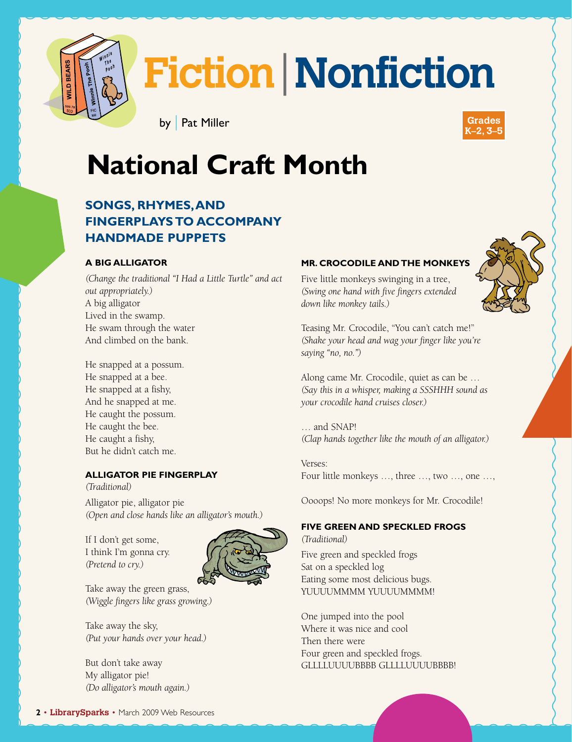

# **Fiction**|**Nonfiction**

**K–2, 3–5** by | Pat Miller



# **National Craft Month**

#### **Songs, Rhymes, and fingerplays to accompany handmade puppets**

#### **A Big Alligator**

*(Change the traditional "I Had a Little Turtle" and act out appropriately.)* A big alligator Lived in the swamp. He swam through the water And climbed on the bank.

He snapped at a possum. He snapped at a bee. He snapped at a fishy, And he snapped at me. He caught the possum. He caught the bee. He caught a fishy, But he didn't catch me.

#### **Alligator Pie Fingerplay**

*(Traditional)*

Alligator pie, alligator pie *(Open and close hands like an alligator's mouth.)*

If I don't get some, I think I'm gonna cry. *(Pretend to cry.)*



Take away the green grass, *(Wiggle fingers like grass growing.)*

Take away the sky, *(Put your hands over your head.)*

But don't take away My alligator pie! *(Do alligator's mouth again.)*

#### **Mr. Crocodile and the Monkeys**

Five little monkeys swinging in a tree, *(Swing one hand with five fingers extended down like monkey tails.)* 

Teasing Mr. Crocodile, "You can't catch me!" *(Shake your head and wag your finger like you're saying "no, no.")*

Along came Mr. Crocodile, quiet as can be … *(Say this in a whisper, making a SSSHHH sound as your crocodile hand cruises closer.)* 

… and SNAP! *(Clap hands together like the mouth of an alligator.)* 

Verses: Four little monkeys …, three …, two …, one …,

Oooops! No more monkeys for Mr. Crocodile!

#### **Five Green and Speckled Frogs**

*(Traditional)*

Five green and speckled frogs Sat on a speckled log Eating some most delicious bugs. YUUUUMMMM YUUUUMMMM!

One jumped into the pool Where it was nice and cool Then there were Four green and speckled frogs. GLLLLUUUUUBBBB GLLLLUUUUBBBB!

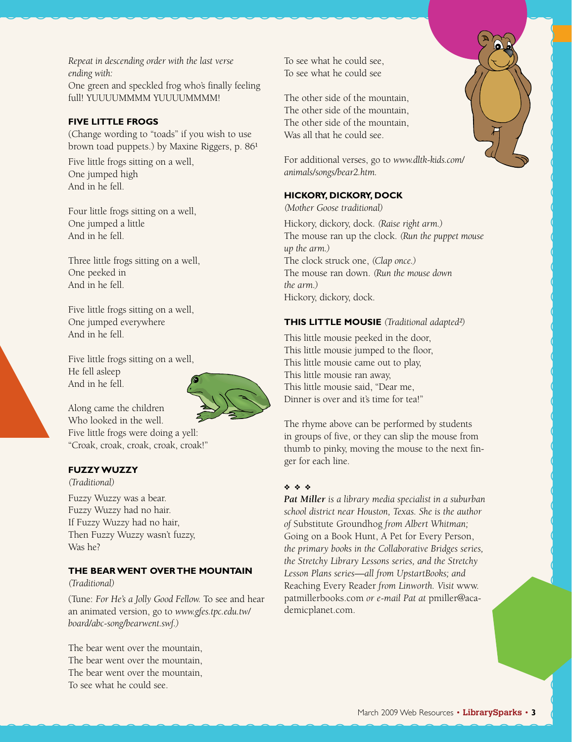*Repeat in descending order with the last verse ending with:* One green and speckled frog who's finally feeling full! YUUUUMMMM YUUUUMMMM!

#### **Five Little Frogs**

(Change wording to "toads" if you wish to use brown toad puppets.) by Maxine Riggers, p. 86<sup>1</sup>

Five little frogs sitting on a well, One jumped high And in he fell.

Four little frogs sitting on a well, One jumped a little And in he fell.

Three little frogs sitting on a well, One peeked in And in he fell.

Five little frogs sitting on a well, One jumped everywhere And in he fell.

Five little frogs sitting on a well, He fell asleep And in he fell.



Along came the children Who looked in the well. Five little frogs were doing a yell: "Croak, croak, croak, croak, croak!"

#### **Fuzzy Wuzzy**

*(Traditional)*

Fuzzy Wuzzy was a bear. Fuzzy Wuzzy had no hair. If Fuzzy Wuzzy had no hair, Then Fuzzy Wuzzy wasn't fuzzy, Was he?

#### **The Bear Went Over the Mountain**

#### *(Traditional)*

(Tune: *For He's a Jolly Good Fellow.* To see and hear an animated version, go to *www.gfes.tpc.edu.tw/ board/abc-song/bearwent.swf.)*

The bear went over the mountain, The bear went over the mountain, The bear went over the mountain, To see what he could see.

To see what he could see, To see what he could see

The other side of the mountain, The other side of the mountain, The other side of the mountain, Was all that he could see.

For additional verses, go to *www.dltk-kids.com/ animals/songs/bear2.htm.*

#### **Hickory, Dickory, Dock**

*(Mother Goose traditional)*

Hickory, dickory, dock. *(Raise right arm.)* The mouse ran up the clock. *(Run the puppet mouse up the arm.)* The clock struck one, *(Clap once.)* The mouse ran down. *(Run the mouse down the arm.)* Hickory, dickory, dock.

#### **This Little Mousie** *(Traditional adapted²)*

This little mousie peeked in the door, This little mousie jumped to the floor, This little mousie came out to play, This little mousie ran away, This little mousie said, "Dear me, Dinner is over and it's time for tea!"

The rhyme above can be performed by students in groups of five, or they can slip the mouse from thumb to pinky, moving the mouse to the next finger for each line.

#### ❖ ❖ ❖

*Pat Miller is a library media specialist in a suburban school district near Houston, Texas. She is the author of* Substitute Groundhog *from Albert Whitman;*  Going on a Book Hunt, A Pet for Every Person, *the primary books in the Collaborative Bridges series, the Stretchy Library Lessons series, and the Stretchy Lesson Plans series—all from UpstartBooks; and*  Reaching Every Reader *from Linworth. Visit* www. patmillerbooks.com *or e-mail Pat at* pmiller@academicplanet.com.

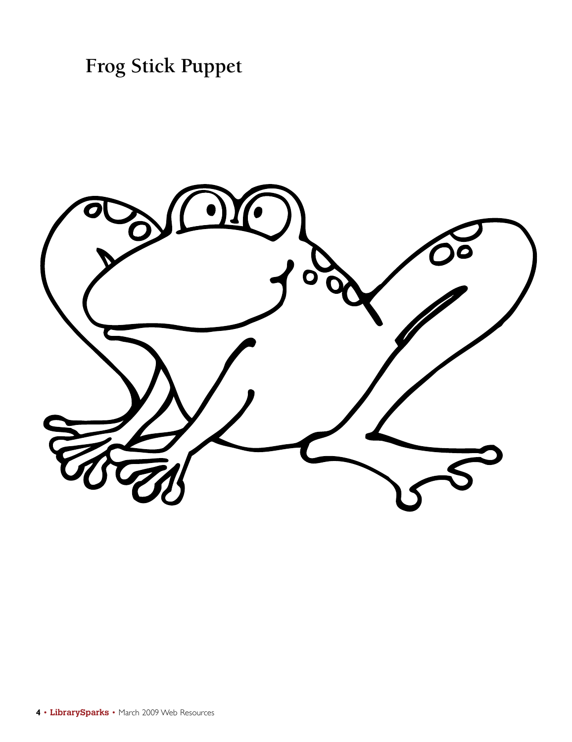**Frog Stick Puppet**

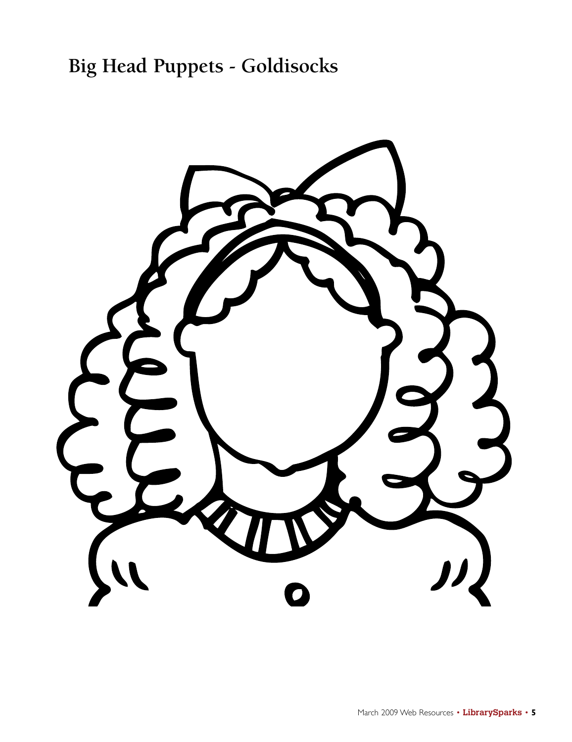# **Big Head Puppets - Goldisocks**

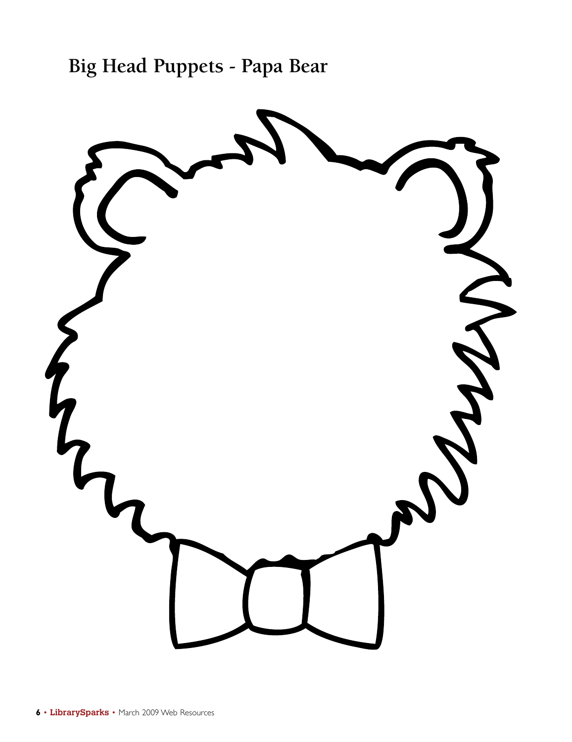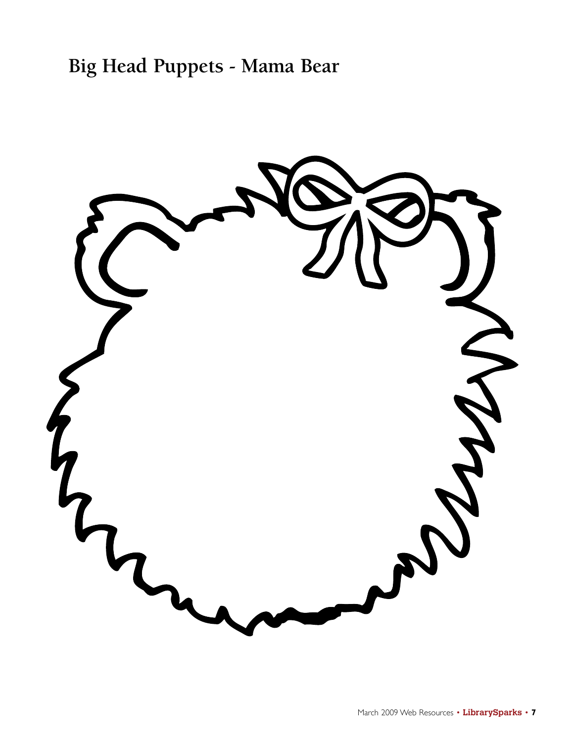## **Big Head Puppets - Mama Bear**

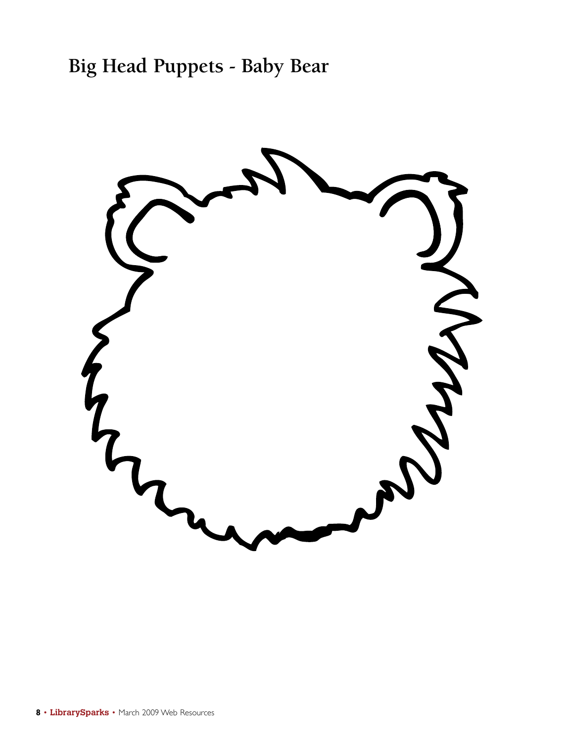## **Big Head Puppets - Baby Bear**